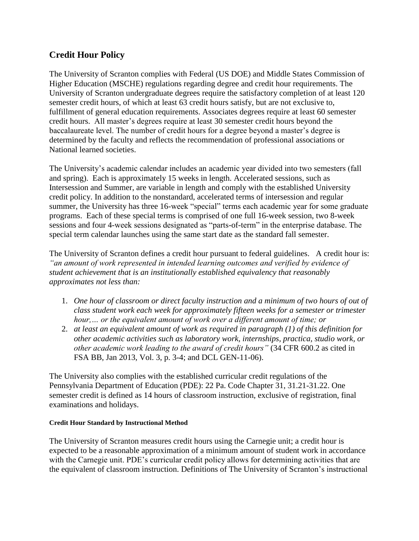## **Credit Hour Policy**

The University of Scranton complies with Federal (US DOE) and Middle States Commission of Higher Education (MSCHE) regulations regarding degree and credit hour requirements. The University of Scranton undergraduate degrees require the satisfactory completion of at least 120 semester credit hours, of which at least 63 credit hours satisfy, but are not exclusive to, fulfillment of general education requirements. Associates degrees require at least 60 semester credit hours. All master's degrees require at least 30 semester credit hours beyond the baccalaureate level. The number of credit hours for a degree beyond a master's degree is determined by the faculty and reflects the recommendation of professional associations or National learned societies.

The University's academic calendar includes an academic year divided into two semesters (fall and spring). Each is approximately 15 weeks in length. Accelerated sessions, such as Intersession and Summer, are variable in length and comply with the established University credit policy. In addition to the nonstandard, accelerated terms of intersession and regular summer, the University has three 16-week "special" terms each academic year for some graduate programs. Each of these special terms is comprised of one full 16-week session, two 8-week sessions and four 4-week sessions designated as "parts-of-term" in the enterprise database. The special term calendar launches using the same start date as the standard fall semester.

The University of Scranton defines a credit hour pursuant to federal guidelines. A credit hour is: *"an amount of work represented in intended learning outcomes and verified by evidence of student achievement that is an institutionally established equivalency that reasonably approximates not less than:*

- 1. *One hour of classroom or direct faculty instruction and a minimum of two hours of out of class student work each week for approximately fifteen weeks for a semester or trimester hour,… or the equivalent amount of work over a different amount of time; or*
- 2. *at least an equivalent amount of work as required in paragraph (1) of this definition for other academic activities such as laboratory work, internships, practica, studio work, or other academic work leading to the award of credit hours"* (34 CFR 600.2 as cited in FSA BB, Jan 2013, Vol. 3, p. 3-4; and DCL GEN-11-06).

The University also complies with the established curricular credit regulations of the Pennsylvania Department of Education (PDE): 22 Pa. Code Chapter 31, 31.21-31.22. One semester credit is defined as 14 hours of classroom instruction, exclusive of registration, final examinations and holidays.

## **Credit Hour Standard by Instructional Method**

The University of Scranton measures credit hours using the Carnegie unit; a credit hour is expected to be a reasonable approximation of a minimum amount of student work in accordance with the Carnegie unit. PDE's curricular credit policy allows for determining activities that are the equivalent of classroom instruction. Definitions of The University of Scranton's instructional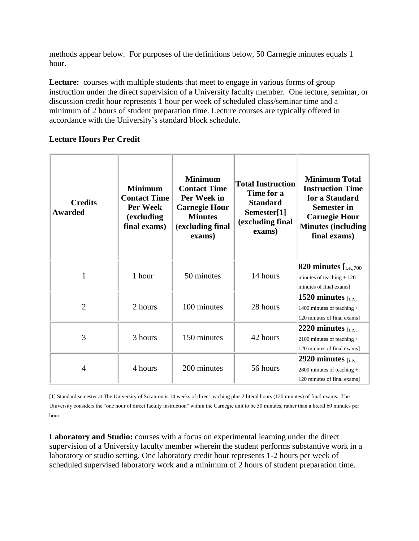methods appear below. For purposes of the definitions below, 50 Carnegie minutes equals 1 hour.

Lecture: courses with multiple students that meet to engage in various forms of group instruction under the direct supervision of a University faculty member. One lecture, seminar, or discussion credit hour represents 1 hour per week of scheduled class/seminar time and a minimum of 2 hours of student preparation time. Lecture courses are typically offered in accordance with the University's standard block schedule.

## **Lecture Hours Per Credit**

| <b>Credits</b><br><b>Awarded</b> | <b>Minimum</b><br><b>Contact Time</b><br>Per Week<br>(excluding<br>final exams) | <b>Minimum</b><br><b>Contact Time</b><br>Per Week in<br><b>Carnegie Hour</b><br><b>Minutes</b><br>(excluding final<br>exams) | <b>Total Instruction</b><br>Time for a<br><b>Standard</b><br>Semester[1]<br>(excluding final<br>exams) | <b>Minimum Total</b><br><b>Instruction Time</b><br>for a Standard<br><b>Semester in</b><br><b>Carnegie Hour</b><br><b>Minutes (including</b><br>final exams) |
|----------------------------------|---------------------------------------------------------------------------------|------------------------------------------------------------------------------------------------------------------------------|--------------------------------------------------------------------------------------------------------|--------------------------------------------------------------------------------------------------------------------------------------------------------------|
|                                  | 1 hour                                                                          | 50 minutes                                                                                                                   | 14 hours                                                                                               | <b>820 minutes</b> $[i.e.,700]$<br>minutes of teaching $+120$<br>minutes of final exams]                                                                     |
| $\overline{2}$                   | 2 hours                                                                         | 100 minutes                                                                                                                  | 28 hours                                                                                               | 1520 minutes $_{[i.e.,]}$<br>1400 minutes of teaching $+$<br>120 minutes of final exams]                                                                     |
| 3                                | 3 hours                                                                         | 150 minutes                                                                                                                  | 42 hours                                                                                               | $ 2220$ minutes [i.e.,<br>2100 minutes of teaching $+$<br>120 minutes of final exams]                                                                        |
| 4                                | 4 hours                                                                         | 200 minutes                                                                                                                  | 56 hours                                                                                               | 2920 minutes $_{[i.e.,]}$<br>2800 minutes of teaching $+$<br>120 minutes of final exams]                                                                     |

[1] Standard semester at The University of Scranton is 14 weeks of direct teaching plus 2 literal hours (120 minutes) of final exams. The University considers the "one hour of direct faculty instruction" within the Carnegie unit to be 50 minutes, rather than a literal 60 minutes per hour.

**Laboratory and Studio:** courses with a focus on experimental learning under the direct supervision of a University faculty member wherein the student performs substantive work in a laboratory or studio setting. One laboratory credit hour represents 1-2 hours per week of scheduled supervised laboratory work and a minimum of 2 hours of student preparation time.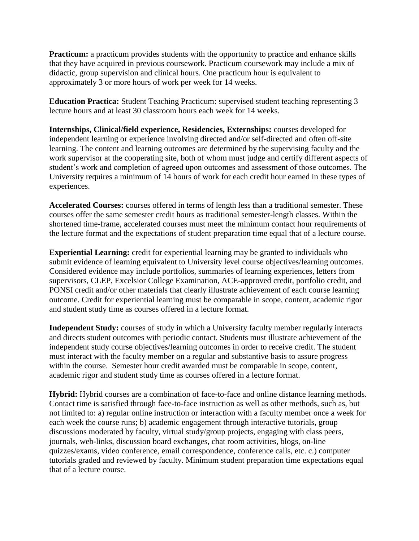**Practicum:** a practicum provides students with the opportunity to practice and enhance skills that they have acquired in previous coursework. Practicum coursework may include a mix of didactic, group supervision and clinical hours. One practicum hour is equivalent to approximately 3 or more hours of work per week for 14 weeks.

**Education Practica:** Student Teaching Practicum: supervised student teaching representing 3 lecture hours and at least 30 classroom hours each week for 14 weeks.

**Internships, Clinical/field experience, Residencies, Externships:** courses developed for independent learning or experience involving directed and/or self-directed and often off-site learning. The content and learning outcomes are determined by the supervising faculty and the work supervisor at the cooperating site, both of whom must judge and certify different aspects of student's work and completion of agreed upon outcomes and assessment of those outcomes. The University requires a minimum of 14 hours of work for each credit hour earned in these types of experiences.

**Accelerated Courses:** courses offered in terms of length less than a traditional semester. These courses offer the same semester credit hours as traditional semester-length classes. Within the shortened time-frame, accelerated courses must meet the minimum contact hour requirements of the lecture format and the expectations of student preparation time equal that of a lecture course.

**Experiential Learning:** credit for experiential learning may be granted to individuals who submit evidence of learning equivalent to University level course objectives/learning outcomes. Considered evidence may include portfolios, summaries of learning experiences, letters from supervisors, CLEP, Excelsior College Examination, ACE-approved credit, portfolio credit, and PONSI credit and/or other materials that clearly illustrate achievement of each course learning outcome. Credit for experiential learning must be comparable in scope, content, academic rigor and student study time as courses offered in a lecture format.

**Independent Study:** courses of study in which a University faculty member regularly interacts and directs student outcomes with periodic contact. Students must illustrate achievement of the independent study course objectives/learning outcomes in order to receive credit. The student must interact with the faculty member on a regular and substantive basis to assure progress within the course. Semester hour credit awarded must be comparable in scope, content, academic rigor and student study time as courses offered in a lecture format.

**Hybrid:** Hybrid courses are a combination of face-to-face and online distance learning methods. Contact time is satisfied through face-to-face instruction as well as other methods, such as, but not limited to: a) regular online instruction or interaction with a faculty member once a week for each week the course runs; b) academic engagement through interactive tutorials, group discussions moderated by faculty, virtual study/group projects, engaging with class peers, journals, web-links, discussion board exchanges, chat room activities, blogs, on-line quizzes/exams, video conference, email correspondence, conference calls, etc. c.) computer tutorials graded and reviewed by faculty. Minimum student preparation time expectations equal that of a lecture course.